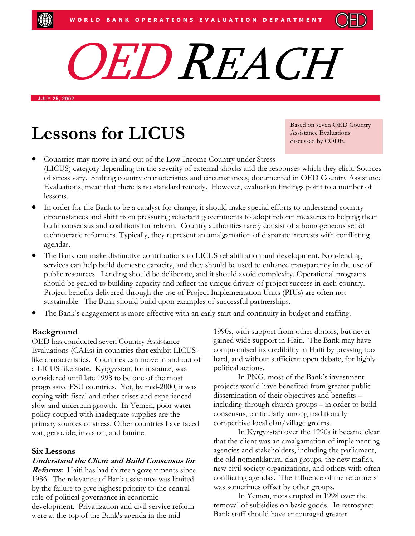

JULY 25, 2002

# Lessons for LICUS<br>Assistance Evaluations

Assistance Evaluations discussed by CODE.

- Countries may move in and out of the Low Income Country under Stress (LICUS) category depending on the severity of external shocks and the responses which they elicit. Sources of stress vary. Shifting country characteristics and circumstances, documented in OED Country Assistance Evaluations, mean that there is no standard remedy. However, evaluation findings point to a number of lessons.
- In order for the Bank to be a catalyst for change, it should make special efforts to understand country circumstances and shift from pressuring reluctant governments to adopt reform measures to helping them build consensus and coalitions for reform. Country authorities rarely consist of a homogeneous set of technocratic reformers. Typically, they represent an amalgamation of disparate interests with conflicting agendas.
- The Bank can make distinctive contributions to LICUS rehabilitation and development. Non-lending services can help build domestic capacity, and they should be used to enhance transparency in the use of public resources. Lending should be deliberate, and it should avoid complexity. Operational programs should be geared to building capacity and reflect the unique drivers of project success in each country. Project benefits delivered through the use of Project Implementation Units (PIUs) are often not sustainable. The Bank should build upon examples of successful partnerships.
- The Bank's engagement is more effective with an early start and continuity in budget and staffing.

## **Background**

OED has conducted seven Country Assistance Evaluations (CAEs) in countries that exhibit LICUSlike characteristics. Countries can move in and out of a LICUS-like state. Kyrgyzstan, for instance, was considered until late 1998 to be one of the most progressive FSU countries. Yet, by mid-2000, it was coping with fiscal and other crises and experienced slow and uncertain growth. In Yemen, poor water policy coupled with inadequate supplies are the primary sources of stress. Other countries have faced war, genocide, invasion, and famine.

#### **Six Lessons**

#### **Understand the Client and Build Consensus for**

**Reforms:** Haiti has had thirteen governments since 1986. The relevance of Bank assistance was limited by the failure to give highest priority to the central role of political governance in economic development. Privatization and civil service reform were at the top of the Bank's agenda in the mid-

1990s, with support from other donors, but never gained wide support in Haiti. The Bank may have compromised its credibility in Haiti by pressing too hard, and without sufficient open debate, for highly political actions.

In PNG, most of the Bank's investment projects would have benefited from greater public dissemination of their objectives and benefits – including through church groups – in order to build consensus, particularly among traditionally competitive local clan/village groups.

In Kyrgyzstan over the 1990s it became clear that the client was an amalgamation of implementing agencies and stakeholders, including the parliament, the old nomenklatura, clan groups, the new mafias, new civil society organizations, and others with often conflicting agendas. The influence of the reformers was sometimes offset by other groups.

In Yemen, riots erupted in 1998 over the removal of subsidies on basic goods. In retrospect Bank staff should have encouraged greater